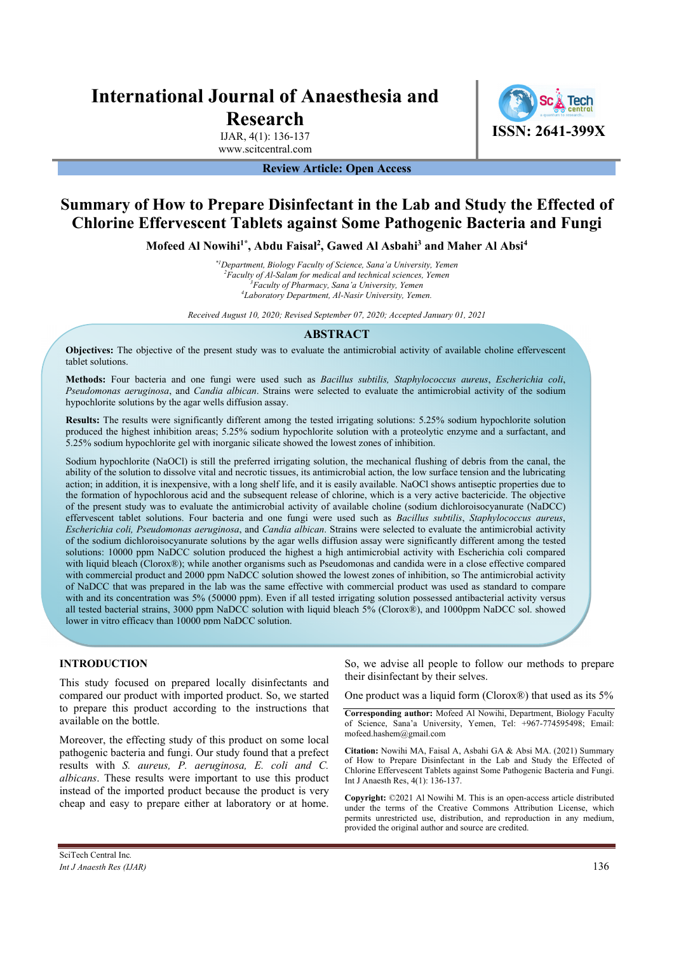# **International Journal of Anaesthesia and Research**

IJAR, 4(1): 136-137 www.scitcentral.com **ISSN: 2641-399X**

### **Review Article: Open Access**

# **Summary of How to Prepare Disinfectant in the Lab and Study the Effected of Chlorine Effervescent Tablets against Some Pathogenic Bacteria and Fungi**

**Mofeed Al Nowihi1\*, Abdu Faisal2 , Gawed Al Asbahi3 and Maher Al Absi4**

*\*1Department, Biology Faculty of Science, Sana'a University, Yemen 2 Faculty of Al-Salam for medical and technical sciences, Yemen 3 Faculty of Pharmacy, Sana'a University, Yemen 4 Laboratory Department, Al-Nasir University, Yemen.* 

*Received August 10, 2020; Revised September 07, 2020; Accepted January 01, 2021* 

#### **ABSTRACT**

**Objectives:** The objective of the present study was to evaluate the antimicrobial activity of available choline effervescent tablet solutions.

**Methods:** Four bacteria and one fungi were used such as *Bacillus subtilis, Staphylococcus aureus*, *Escherichia coli*, *Pseudomonas aeruginosa*, and *Candia albican*. Strains were selected to evaluate the antimicrobial activity of the sodium hypochlorite solutions by the agar wells diffusion assay.

**Results:** The results were significantly different among the tested irrigating solutions: 5.25% sodium hypochlorite solution produced the highest inhibition areas; 5.25% sodium hypochlorite solution with a proteolytic enzyme and a surfactant, and 5.25% sodium hypochlorite gel with inorganic silicate showed the lowest zones of inhibition.

Sodium hypochlorite (NaOCl) is still the preferred irrigating solution, the mechanical flushing of debris from the canal, the ability of the solution to dissolve vital and necrotic tissues, its antimicrobial action, the low surface tension and the lubricating action; in addition, it is inexpensive, with a long shelf life, and it is easily available. NaOCl shows antiseptic properties due to the formation of hypochlorous acid and the subsequent release of chlorine, which is a very active bactericide. The objective of the present study was to evaluate the antimicrobial activity of available choline (sodium dichloroisocyanurate (NaDCC) effervescent tablet solutions. Four bacteria and one fungi were used such as *Bacillus subtilis*, *Staphylococcus aureus*, *Escherichia coli, Pseudomonas aeruginosa*, and *Candia albican*. Strains were selected to evaluate the antimicrobial activity of the sodium dichloroisocyanurate solutions by the agar wells diffusion assay were significantly different among the tested solutions: 10000 ppm NaDCC solution produced the highest a high antimicrobial activity with Escherichia coli compared with liquid bleach (Clorox®); while another organisms such as Pseudomonas and candida were in a close effective compared with commercial product and 2000 ppm NaDCC solution showed the lowest zones of inhibition, so The antimicrobial activity of NaDCC that was prepared in the lab was the same effective with commercial product was used as standard to compare with and its concentration was 5% (50000 ppm). Even if all tested irrigating solution possessed antibacterial activity versus all tested bacterial strains, 3000 ppm NaDCC solution with liquid bleach 5% (Clorox®), and 1000ppm NaDCC sol. showed lower in vitro efficacy than 10000 ppm NaDCC solution.

#### **INTRODUCTION**

This study focused on prepared locally disinfectants and compared our product with imported product. So, we started to prepare this product according to the instructions that available on the bottle.

Moreover, the effecting study of this product on some local pathogenic bacteria and fungi. Our study found that a prefect results with *S. aureus, P. aeruginosa, E. coli and C. albicans*. These results were important to use this product instead of the imported product because the product is very cheap and easy to prepare either at laboratory or at home.

So, we advise all people to follow our methods to prepare their disinfectant by their selves.

One product was a liquid form (Clorox®) that used as its 5%

**Corresponding author:** Mofeed Al Nowihi, Department, Biology Faculty of Science, Sana'a University, Yemen, Tel: +967-774595498; Email: mofeed.hashem@gmail.com

**Citation:** Nowihi MA, Faisal A, Asbahi GA & Absi MA. (2021) Summary of How to Prepare Disinfectant in the Lab and Study the Effected of Chlorine Effervescent Tablets against Some Pathogenic Bacteria and Fungi. Int J Anaesth Res, 4(1): 136-137.

**Copyright:** ©2021 Al Nowihi M. This is an open-access article distributed under the terms of the Creative Commons Attribution License, which permits unrestricted use, distribution, and reproduction in any medium, provided the original author and source are credited.